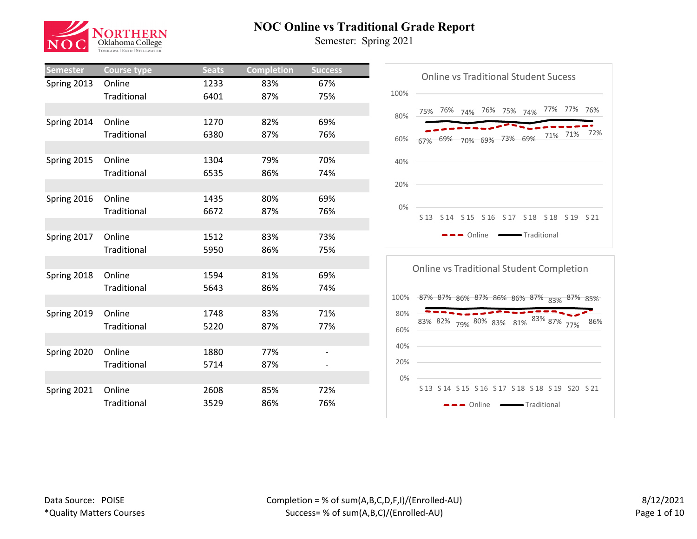

| <b>Semester</b> | <b>Course type</b> | <b>Seats</b> | <b>Completion</b> | <b>Success</b>           |
|-----------------|--------------------|--------------|-------------------|--------------------------|
| Spring 2013     | Online             | 1233         | 83%               | 67%                      |
|                 | Traditional        | 6401         | 87%               | 75%                      |
|                 |                    |              |                   |                          |
| Spring 2014     | Online             | 1270         | 82%               | 69%                      |
|                 | Traditional        | 6380         | 87%               | 76%                      |
|                 |                    |              |                   |                          |
| Spring 2015     | Online             | 1304         | 79%               | 70%                      |
|                 | Traditional        | 6535         | 86%               | 74%                      |
|                 |                    |              |                   |                          |
| Spring 2016     | Online             | 1435         | 80%               | 69%                      |
|                 | Traditional        | 6672         | 87%               | 76%                      |
|                 |                    |              |                   |                          |
| Spring 2017     | Online             | 1512         | 83%               | 73%                      |
|                 | Traditional        | 5950         | 86%               | 75%                      |
|                 |                    |              |                   |                          |
| Spring 2018     | Online             | 1594         | 81%               | 69%                      |
|                 | Traditional        | 5643         | 86%               | 74%                      |
|                 |                    |              |                   |                          |
| Spring 2019     | Online             | 1748         | 83%               | 71%                      |
|                 | Traditional        | 5220         | 87%               | 77%                      |
|                 |                    |              |                   |                          |
| Spring 2020     | Online             | 1880         | 77%               | $\overline{\phantom{0}}$ |
|                 | Traditional        | 5714         | 87%               |                          |
|                 |                    |              |                   |                          |
| Spring 2021     | Online             | 2608         | 85%               | 72%                      |
|                 | Traditional        | 3529         | 86%               | 76%                      |



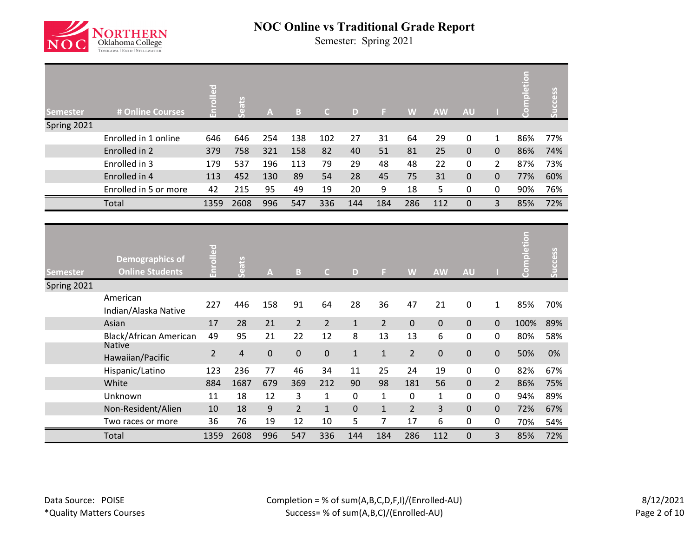

| Semester    | # Online Courses                                 | Enrolled       | Seats          | $\overline{\mathsf{A}}$ | B              | $\mathsf{C}$   | D            | F.             | W              | <b>AW</b>    | <b>AU</b>    |                | <b>Completion</b> | Success |
|-------------|--------------------------------------------------|----------------|----------------|-------------------------|----------------|----------------|--------------|----------------|----------------|--------------|--------------|----------------|-------------------|---------|
| Spring 2021 |                                                  |                |                |                         |                |                |              |                |                |              |              |                |                   |         |
|             | Enrolled in 1 online                             | 646            | 646            | 254                     | 138            | 102            | 27           | 31             | 64             | 29           | $\mathbf 0$  | $\mathbf{1}$   | 86%               | 77%     |
|             | Enrolled in 2                                    | 379            | 758            | 321                     | 158            | 82             | 40           | 51             | 81             | 25           | $\mathbf 0$  | $\mathbf 0$    | 86%               | 74%     |
|             | Enrolled in 3                                    | 179            | 537            | 196                     | 113            | 79             | 29           | 48             | 48             | 22           | 0            | $\overline{2}$ | 87%               | 73%     |
|             | Enrolled in 4                                    | 113            | 452            | 130                     | 89             | 54             | 28           | 45             | 75             | 31           | $\mathbf 0$  | $\pmb{0}$      | 77%               | 60%     |
|             | Enrolled in 5 or more                            | 42             | 215            | 95                      | 49             | 19             | 20           | 9              | 18             | 5            | $\pmb{0}$    | $\pmb{0}$      | 90%               | 76%     |
|             | Total                                            | 1359           | 2608           | 996                     | 547            | 336            | 144          | 184            | 286            | 112          | $\mathbf{0}$ | $\overline{3}$ | 85%               | 72%     |
|             |                                                  |                |                |                         |                |                |              |                |                |              |              |                |                   |         |
|             |                                                  |                |                |                         |                |                |              |                |                |              |              |                |                   |         |
| Semester    | <b>Demographics of</b><br><b>Online Students</b> | Enrolled       | Seats          | $\mathbf{A}$            | $\overline{B}$ | $\mathsf{C}$   | D            | F.             | W              | <b>AW</b>    | <b>AU</b>    |                | Completion        | Success |
| Spring 2021 |                                                  |                |                |                         |                |                |              |                |                |              |              |                |                   |         |
|             | American<br>Indian/Alaska Native                 | 227            | 446            | 158                     | 91             | 64             | 28           | 36             | 47             | 21           | $\pmb{0}$    | $\mathbf{1}$   | 85%               | 70%     |
|             | Asian                                            | 17             | 28             | 21                      | $\overline{2}$ | $\overline{2}$ | $\mathbf{1}$ | $\overline{2}$ | $\pmb{0}$      | $\pmb{0}$    | $\mathbf 0$  | $\mathbf 0$    | 100%              | 89%     |
|             | <b>Black/African American</b>                    | 49             | 95             | 21                      | 22             | 12             | 8            | 13             | 13             | 6            | 0            | 0              | 80%               | 58%     |
|             | <b>Native</b><br>Hawaiian/Pacific                | $\overline{2}$ | $\overline{4}$ | $\pmb{0}$               | $\pmb{0}$      | $\pmb{0}$      | $\mathbf{1}$ | $\mathbf{1}$   | $\overline{2}$ | 0            | $\mathbf 0$  | $\mathbf 0$    | 50%               | 0%      |
|             | Hispanic/Latino                                  | 123            | 236            | 77                      | 46             | 34             | 11           | 25             | 24             | 19           | 0            | 0              | 82%               | 67%     |
|             | White                                            | 884            | 1687           | 679                     | 369            | 212            | 90           | 98             | 181            | 56           | $\mathbf 0$  | $\overline{2}$ | 86%               | 75%     |
|             | Unknown                                          | 11             | 18             | 12                      | 3              | $\mathbf{1}$   | 0            | $\mathbf{1}$   | 0              | $\mathbf{1}$ | 0            | 0              | 94%               | 89%     |
|             | Non-Resident/Alien                               | 10             | 18             | 9                       | $\overline{2}$ | $\mathbf{1}$   | $\mathbf 0$  | $\mathbf{1}$   | $\overline{2}$ | 3            | $\mathbf 0$  | $\mathbf 0$    | 72%               | 67%     |
|             | Two races or more                                | 36             | 76             | 19                      | 12             | 10             | 5            | $\overline{7}$ | 17             | 6            | 0            | 0              | 70%               | 54%     |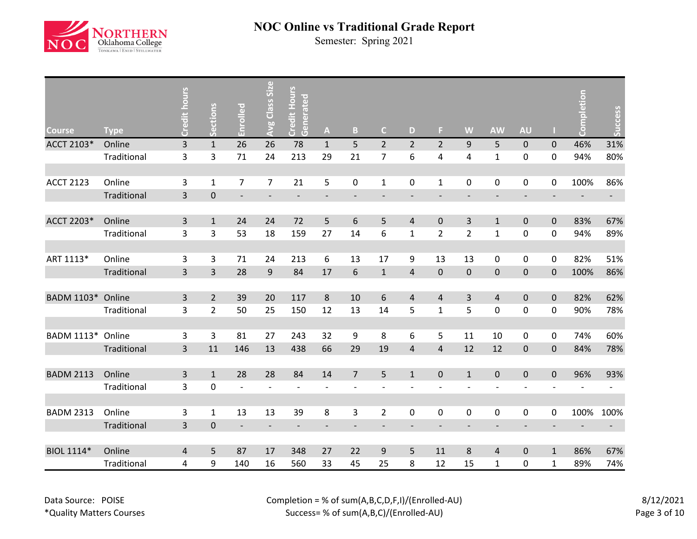

| <b>Course</b>    | <b>Type</b> | Credit hours   | ections        | Enrolled                 | <b>Avg Class Size</b>    | <b>Credit Hours</b><br>Generated | $\mathbf{A}$             | $\mathbf{B}$             | $\mathsf{C}$             | D                        | F.             | W                            | <b>AW</b>                | <b>AU</b>                |                  | pletion<br>8 | Success                  |
|------------------|-------------|----------------|----------------|--------------------------|--------------------------|----------------------------------|--------------------------|--------------------------|--------------------------|--------------------------|----------------|------------------------------|--------------------------|--------------------------|------------------|--------------|--------------------------|
| ACCT 2103*       | Online      | $\overline{3}$ | $\mathbf{1}$   | 26                       | 26                       | 78                               | $\mathbf{1}$             | 5                        | $\overline{2}$           | $\overline{2}$           | $\overline{2}$ | 9                            | 5                        | $\pmb{0}$                | $\mathbf 0$      | 46%          | 31%                      |
|                  | Traditional | 3              | 3              | 71                       | 24                       | 213                              | 29                       | 21                       | $\overline{7}$           | 6                        | 4              | 4                            | $\mathbf 1$              | 0                        | 0                | 94%          | 80%                      |
|                  |             |                |                |                          |                          |                                  |                          |                          |                          |                          |                |                              |                          |                          |                  |              |                          |
| <b>ACCT 2123</b> | Online      | 3              | $\mathbf{1}$   | 7                        | $\overline{7}$           | 21                               | 5                        | $\pmb{0}$                | $\mathbf{1}$             | $\pmb{0}$                | $\mathbf{1}$   | $\mathbf 0$                  | 0                        | 0                        | $\mathbf 0$      | 100%         | 86%                      |
|                  | Traditional | $\overline{3}$ | $\pmb{0}$      | $\overline{\phantom{a}}$ |                          | $\overline{\phantom{a}}$         | $\overline{\phantom{a}}$ | $\overline{\phantom{a}}$ | $\overline{\phantom{a}}$ | $\overline{\phantom{a}}$ |                | $\qquad \qquad \blacksquare$ | $\overline{\phantom{a}}$ | $\overline{\phantom{a}}$ |                  |              | $\sim 100$               |
|                  |             |                |                |                          |                          |                                  |                          |                          |                          |                          |                |                              |                          |                          |                  |              |                          |
| ACCT 2203*       | Online      | 3              | $\mathbf{1}$   | 24                       | 24                       | 72                               | 5                        | $\sqrt{6}$               | 5                        | $\overline{4}$           | $\mathbf 0$    | 3                            | $\mathbf{1}$             | $\pmb{0}$                | $\mathbf 0$      | 83%          | 67%                      |
|                  | Traditional | 3              | 3              | 53                       | 18                       | 159                              | 27                       | 14                       | 6                        | $\mathbf{1}$             | $\overline{2}$ | $\overline{2}$               | $\mathbf 1$              | 0                        | $\boldsymbol{0}$ | 94%          | 89%                      |
|                  |             |                |                |                          |                          |                                  |                          |                          |                          |                          |                |                              |                          |                          |                  |              |                          |
| ART 1113*        | Online      | 3              | 3              | 71                       | 24                       | 213                              | 6                        | 13                       | 17                       | 9                        | 13             | 13                           | 0                        | $\pmb{0}$                | $\mathbf 0$      | 82%          | 51%                      |
|                  | Traditional | 3              | $\overline{3}$ | 28                       | 9                        | 84                               | 17                       | 6                        | $\mathbf{1}$             | $\overline{4}$           | $\mathbf 0$    | $\boldsymbol{0}$             | $\mathbf 0$              | 0                        | $\mathbf 0$      | 100%         | 86%                      |
|                  |             |                |                |                          |                          |                                  |                          |                          |                          |                          |                |                              |                          |                          |                  |              |                          |
| BADM 1103*       | Online      | 3              | $\overline{2}$ | 39                       | 20                       | 117                              | $\,8\,$                  | $10\,$                   | 6                        | 4                        | 4              | $\overline{3}$               | $\sqrt{4}$               | 0                        | $\mathbf 0$      | 82%          | 62%                      |
|                  | Traditional | 3              | $\overline{2}$ | 50                       | 25                       | 150                              | 12                       | 13                       | 14                       | 5                        | $\mathbf{1}$   | 5                            | $\pmb{0}$                | 0                        | $\mathbf 0$      | 90%          | 78%                      |
|                  |             |                |                |                          |                          |                                  |                          |                          |                          |                          |                |                              |                          |                          |                  |              |                          |
| BADM 1113*       | Online      | 3              | 3              | 81                       | 27                       | 243                              | 32                       | 9                        | 8                        | 6                        | 5              | 11                           | 10                       | 0                        | 0                | 74%          | 60%                      |
|                  | Traditional | 3              | 11             | 146                      | 13                       | 438                              | 66                       | 29                       | 19                       | $\overline{4}$           | $\overline{4}$ | 12                           | 12                       | 0                        | $\mathbf 0$      | 84%          | 78%                      |
|                  |             |                |                |                          |                          |                                  |                          |                          |                          |                          |                |                              |                          |                          |                  |              |                          |
| <b>BADM 2113</b> | Online      | 3              | $\mathbf{1}$   | 28                       | 28                       | 84                               | 14                       | $\overline{7}$           | 5                        | $\mathbf{1}$             | $\pmb{0}$      | $\mathbf{1}$                 | $\pmb{0}$                | $\pmb{0}$                | $\pmb{0}$        | 96%          | 93%                      |
|                  | Traditional | 3              | $\mathbf 0$    |                          |                          | $\overline{\phantom{a}}$         | $\overline{\phantom{a}}$ | $\overline{a}$           |                          |                          |                |                              | $\overline{a}$           |                          |                  |              |                          |
|                  |             |                |                |                          |                          |                                  |                          |                          |                          |                          |                |                              |                          |                          |                  |              |                          |
| <b>BADM 2313</b> | Online      | 3              | $\mathbf{1}$   | 13                       | 13                       | 39                               | $\bf 8$                  | 3                        | $\overline{2}$           | $\mathbf 0$              | 0              | $\pmb{0}$                    | 0                        | 0                        | $\mathbf 0$      | 100%         | 100%                     |
|                  | Traditional | 3              | $\mathbf{0}$   | $\overline{\phantom{a}}$ | $\overline{\phantom{a}}$ | $\overline{\phantom{a}}$         | $\overline{\phantom{a}}$ | $\overline{\phantom{a}}$ |                          |                          |                | $\overline{\phantom{a}}$     | $\overline{\phantom{a}}$ | $\overline{\phantom{a}}$ |                  |              | $\overline{\phantom{a}}$ |
|                  |             |                |                |                          |                          |                                  |                          |                          |                          |                          |                |                              |                          |                          |                  |              |                          |
| BIOL 1114*       | Online      | 4              | 5              | 87                       | 17                       | 348                              | 27                       | 22                       | 9                        | 5                        | 11             | 8                            | 4                        | 0                        | $\mathbf{1}$     | 86%          | 67%                      |
|                  | Traditional | 4              | 9              | 140                      | 16                       | 560                              | 33                       | 45                       | 25                       | 8                        | 12             | 15                           | $\mathbf 1$              | 0                        | 1                | 89%          | 74%                      |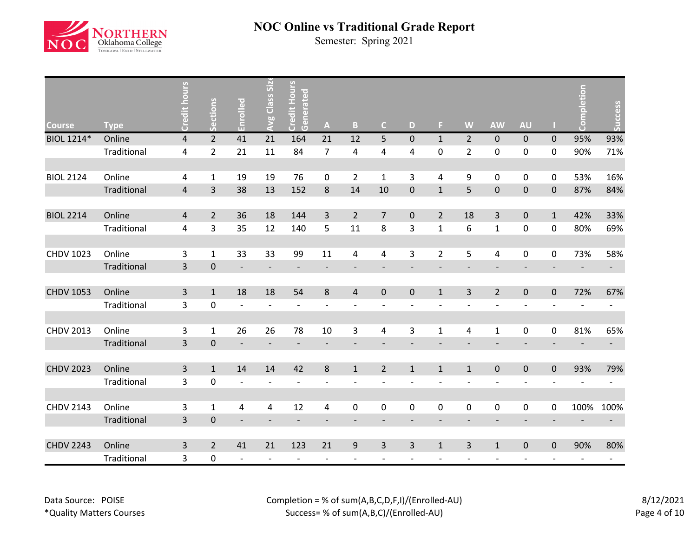

| <b>Course</b>    | <b>Type</b> | <b>Credit hours</b>     | Sections       | Enrolled                 | Class Siz<br>Avg         | <b>Credit Hours</b><br>Generated | $\mathbf{A}$             | B                        | $\overline{C}$ | D            | F              | W                        | <b>AW</b>                | <b>AU</b>                |              | pletion<br>၉             | Success |
|------------------|-------------|-------------------------|----------------|--------------------------|--------------------------|----------------------------------|--------------------------|--------------------------|----------------|--------------|----------------|--------------------------|--------------------------|--------------------------|--------------|--------------------------|---------|
| BIOL 1214*       | Online      | 4                       | $\overline{2}$ | 41                       | 21                       | 164                              | 21                       | 12                       | 5              | $\mathbf{0}$ | $\mathbf{1}$   | $\overline{2}$           | $\pmb{0}$                | $\mathbf 0$              | $\mathbf 0$  | 95%                      | 93%     |
|                  | Traditional | 4                       | $\overline{2}$ | 21                       | 11                       | 84                               | $\overline{7}$           | $\overline{\mathbf{4}}$  | 4              | 4            | 0              | $\overline{2}$           | $\pmb{0}$                | 0                        | 0            | 90%                      | 71%     |
|                  |             |                         |                |                          |                          |                                  |                          |                          |                |              |                |                          |                          |                          |              |                          |         |
| <b>BIOL 2124</b> | Online      | 4                       | 1              | 19                       | 19                       | 76                               | 0                        | $\overline{2}$           | 1              | 3            | 4              | 9                        | 0                        | 0                        | 0            | 53%                      | 16%     |
|                  | Traditional | $\overline{\mathbf{4}}$ | 3              | 38                       | 13                       | 152                              | $\,8\,$                  | 14                       | 10             | $\pmb{0}$    | $\mathbf{1}$   | 5                        | $\pmb{0}$                | $\pmb{0}$                | $\mathbf 0$  | 87%                      | 84%     |
|                  |             |                         |                |                          |                          |                                  |                          |                          |                |              |                |                          |                          |                          |              |                          |         |
| <b>BIOL 2214</b> | Online      | 4                       | $\overline{2}$ | 36                       | 18                       | 144                              | $\overline{3}$           | $\overline{2}$           | $\overline{7}$ | $\pmb{0}$    | $\overline{2}$ | 18                       | $\overline{3}$           | $\mathsf{O}\xspace$      | $\mathbf{1}$ | 42%                      | 33%     |
|                  | Traditional | 4                       | 3              | 35                       | 12                       | 140                              | 5                        | 11                       | 8              | 3            | $\mathbf{1}$   | 6                        | $\mathbf 1$              | 0                        | 0            | 80%                      | 69%     |
|                  |             |                         |                |                          |                          |                                  |                          |                          |                |              |                |                          |                          |                          |              |                          |         |
| <b>CHDV 1023</b> | Online      | 3                       | $\mathbf{1}$   | 33                       | 33                       | 99                               | 11                       | 4                        | 4              | 3            | $\overline{2}$ | 5                        | 4                        | $\pmb{0}$                | 0            | 73%                      | 58%     |
|                  | Traditional | $\overline{3}$          | $\pmb{0}$      | $\overline{\phantom{a}}$ |                          | $\overline{\phantom{a}}$         | $\overline{\phantom{a}}$ |                          |                |              |                |                          |                          |                          |              |                          | e i     |
|                  |             |                         |                |                          |                          |                                  |                          |                          |                |              |                |                          |                          |                          |              |                          |         |
| <b>CHDV 1053</b> | Online      | 3                       | $\mathbf{1}$   | 18                       | 18                       | 54                               | $\bf 8$                  | $\overline{4}$           | $\pmb{0}$      | $\mathbf 0$  | $\mathbf{1}$   | $\overline{3}$           | $\overline{2}$           | $\pmb{0}$                | $\pmb{0}$    | 72%                      | 67%     |
|                  | Traditional | 3                       | $\pmb{0}$      | $\overline{a}$           |                          | $\overline{\phantom{a}}$         | $\overline{\phantom{a}}$ | $\overline{\phantom{0}}$ |                |              |                |                          | $\overline{\phantom{a}}$ |                          |              |                          |         |
|                  |             |                         |                |                          |                          |                                  |                          |                          |                |              |                |                          |                          |                          |              |                          |         |
| <b>CHDV 2013</b> | Online      | 3                       | $\mathbf{1}$   | 26                       | 26                       | 78                               | 10                       | 3                        | 4              | 3            | $\mathbf{1}$   | 4                        | $\mathbf 1$              | $\pmb{0}$                | 0            | 81%                      | 65%     |
|                  | Traditional | 3                       | $\pmb{0}$      | $\overline{\phantom{a}}$ | $\overline{\phantom{a}}$ | $\overline{\phantom{a}}$         | $\overline{\phantom{a}}$ | $\overline{\phantom{a}}$ |                |              |                | $\overline{\phantom{a}}$ | $\overline{\phantom{a}}$ |                          |              |                          | $\sim$  |
|                  |             |                         |                |                          |                          |                                  |                          |                          |                |              |                |                          |                          |                          |              |                          |         |
| <b>CHDV 2023</b> | Online      | $\overline{3}$          | $\mathbf{1}$   | 14                       | 14                       | 42                               | $\,8\,$                  | $\mathbf{1}$             | $\overline{2}$ | $\mathbf{1}$ | $\mathbf{1}$   | $\mathbf{1}$             | $\pmb{0}$                | $\mathsf{O}\xspace$      | $\mathbf 0$  | 93%                      | 79%     |
|                  | Traditional | 3                       | $\mathbf 0$    | $\overline{a}$           |                          |                                  |                          | $\overline{a}$           |                |              |                |                          | $\overline{a}$           |                          |              |                          |         |
|                  |             |                         |                |                          |                          |                                  |                          |                          |                |              |                |                          |                          |                          |              |                          |         |
| <b>CHDV 2143</b> | Online      | 3                       | $\mathbf{1}$   | 4                        | 4                        | 12                               | 4                        | $\pmb{0}$                | 0              | $\mathbf 0$  | 0              | $\pmb{0}$                | 0                        | 0                        | 0            | 100%                     | 100%    |
|                  | Traditional | 3                       | $\pmb{0}$      |                          |                          |                                  |                          |                          |                |              |                |                          |                          |                          |              |                          |         |
|                  |             |                         |                |                          |                          |                                  |                          |                          |                |              |                |                          |                          |                          |              |                          |         |
| <b>CHDV 2243</b> | Online      | 3                       | $\overline{2}$ | 41                       | 21                       | 123                              | 21                       | $\boldsymbol{9}$         | 3              | 3            | $\mathbf{1}$   | $\overline{3}$           | $\mathbf 1$              | $\mathbf 0$              | $\mathbf 0$  | 90%                      | 80%     |
|                  | Traditional | 3                       | $\pmb{0}$      | $\overline{\phantom{a}}$ |                          | $\overline{\phantom{a}}$         | $\overline{\phantom{a}}$ | $\overline{\phantom{a}}$ |                |              |                |                          | $\overline{\phantom{a}}$ | $\overline{\phantom{a}}$ |              | $\overline{\phantom{a}}$ |         |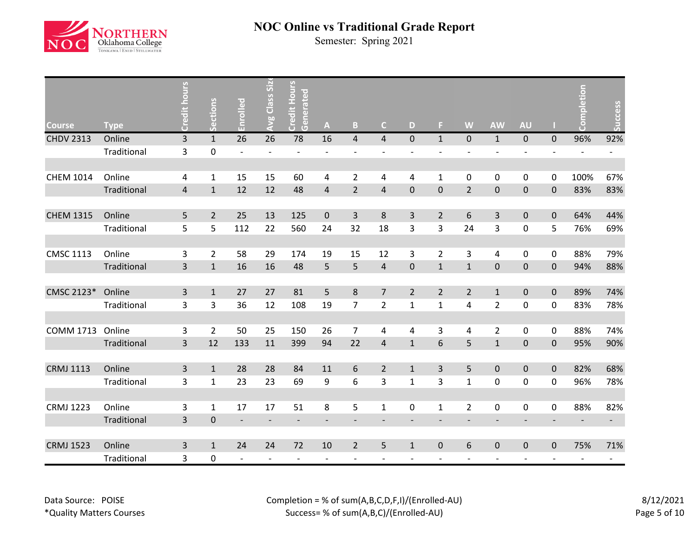

| <b>Course</b>    | <b>Type</b> | <b>Sunou</b><br>Credit  | Sections       | Enrolled                 | Class Siz<br>Avg         | Credit Hours<br>Generated | $\boldsymbol{\mathsf{A}}$ | B                        | $\mathsf{C}$   | D                        | F.             | W                            | <b>AW</b>                | <b>AU</b>           |                          | etior<br>ပိ              | <b>Success</b> |
|------------------|-------------|-------------------------|----------------|--------------------------|--------------------------|---------------------------|---------------------------|--------------------------|----------------|--------------------------|----------------|------------------------------|--------------------------|---------------------|--------------------------|--------------------------|----------------|
| <b>CHDV 2313</b> | Online      | 3                       | $\mathbf{1}$   | 26                       | 26                       | 78                        | 16                        | $\overline{\mathbf{4}}$  | $\overline{4}$ | $\mathbf{0}$             | $\mathbf{1}$   | $\mathbf 0$                  | $\mathbf 1$              | $\mathbf 0$         | $\Omega$                 | 96%                      | 92%            |
|                  | Traditional | 3                       | 0              | $\blacksquare$           |                          | $\overline{a}$            | $\overline{a}$            | $\overline{a}$           |                | $\overline{a}$           |                | $\overline{a}$               | $\overline{\phantom{m}}$ |                     |                          | $\overline{a}$           |                |
|                  |             |                         |                |                          |                          |                           |                           |                          |                |                          |                |                              |                          |                     |                          |                          |                |
| <b>CHEM 1014</b> | Online      | 4                       | 1              | 15                       | 15                       | 60                        | 4                         | $\overline{2}$           | 4              | 4                        | $\mathbf{1}$   | 0                            | 0                        | 0                   | 0                        | 100%                     | 67%            |
|                  | Traditional | 4                       | $\mathbf{1}$   | 12                       | 12                       | 48                        | $\overline{4}$            | $\overline{2}$           | 4              | $\mathbf 0$              | $\mathbf 0$    | $\overline{2}$               | $\pmb{0}$                | $\pmb{0}$           | $\mathbf 0$              | 83%                      | 83%            |
|                  |             |                         |                |                          |                          |                           |                           |                          |                |                          |                |                              |                          |                     |                          |                          |                |
| <b>CHEM 1315</b> | Online      | 5                       | $\overline{2}$ | 25                       | 13                       | 125                       | $\pmb{0}$                 | $\overline{\mathbf{3}}$  | 8              | 3                        | $\overline{2}$ | $6\,$                        | $\mathsf{3}$             | $\mathsf{O}\xspace$ | $\pmb{0}$                | 64%                      | 44%            |
|                  | Traditional | 5                       | 5              | 112                      | 22                       | 560                       | 24                        | 32                       | 18             | 3                        | 3              | 24                           | 3                        | $\pmb{0}$           | 5                        | 76%                      | 69%            |
|                  |             |                         |                |                          |                          |                           |                           |                          |                |                          |                |                              |                          |                     |                          |                          |                |
| <b>CMSC 1113</b> | Online      | 3                       | $\overline{2}$ | 58                       | 29                       | 174                       | 19                        | 15                       | 12             | 3                        | $\overline{2}$ | $\mathsf{3}$                 | 4                        | $\boldsymbol{0}$    | 0                        | 88%                      | 79%            |
|                  | Traditional | $\overline{\mathbf{3}}$ | $\mathbf{1}$   | 16                       | 16                       | 48                        | 5                         | 5                        | $\overline{4}$ | $\mathbf 0$              | $\mathbf{1}$   | $\mathbf{1}$                 | $\pmb{0}$                | $\pmb{0}$           | $\overline{0}$           | 94%                      | 88%            |
|                  |             |                         |                |                          |                          |                           |                           |                          |                |                          |                |                              |                          |                     |                          |                          |                |
| CMSC 2123*       | Online      | 3                       | $\mathbf{1}$   | 27                       | 27                       | 81                        | 5                         | 8                        | $\overline{7}$ | $\overline{2}$           | $\overline{2}$ | $\overline{2}$               | $\mathbf 1$              | $\pmb{0}$           | $\pmb{0}$                | 89%                      | 74%            |
|                  | Traditional | 3                       | 3              | 36                       | 12                       | 108                       | 19                        | $\overline{7}$           | $\overline{2}$ | $\mathbf{1}$             | $\mathbf{1}$   | $\overline{4}$               | $\overline{2}$           | 0                   | 0                        | 83%                      | 78%            |
|                  |             |                         |                |                          |                          |                           |                           |                          |                |                          |                |                              |                          |                     |                          |                          |                |
| <b>COMM 1713</b> | Online      | 3                       | $\overline{2}$ | 50                       | 25                       | 150                       | 26                        | $\overline{7}$           | $\pmb{4}$      | 4                        | 3              | $\overline{4}$               | $\overline{2}$           | $\mathsf{O}$        | 0                        | 88%                      | 74%            |
|                  | Traditional | 3                       | 12             | 133                      | 11                       | 399                       | 94                        | 22                       | $\overline{a}$ | $\mathbf{1}$             | 6              | 5                            | $\mathbf{1}$             | $\pmb{0}$           | $\mathbf 0$              | 95%                      | 90%            |
|                  |             |                         |                |                          |                          |                           |                           |                          |                |                          |                |                              |                          |                     |                          |                          |                |
| <b>CRMJ 1113</b> | Online      | 3                       | $\mathbf{1}$   | 28                       | 28                       | 84                        | $11\,$                    | 6                        | $\overline{2}$ | $\mathbf{1}$             | 3              | 5                            | $\pmb{0}$                | $\pmb{0}$           | $\mathbf 0$              | 82%                      | 68%            |
|                  | Traditional | 3                       | $\mathbf{1}$   | 23                       | 23                       | 69                        | 9                         | 6                        | 3              | $\mathbf{1}$             | 3              | $\mathbf{1}$                 | $\pmb{0}$                | 0                   | 0                        | 96%                      | 78%            |
|                  |             |                         |                |                          |                          |                           |                           |                          |                |                          |                |                              |                          |                     |                          |                          |                |
| <b>CRMJ 1223</b> | Online      | 3                       | 1              | 17                       | 17                       | 51                        | 8                         | 5                        | $\mathbf{1}$   | 0                        | $\mathbf{1}$   | $\overline{2}$               | 0                        | 0                   | 0                        | 88%                      | 82%            |
|                  | Traditional | 3                       | $\pmb{0}$      |                          |                          |                           |                           |                          |                |                          |                |                              |                          |                     |                          |                          |                |
|                  |             |                         |                |                          |                          |                           |                           |                          |                |                          |                |                              |                          |                     |                          |                          |                |
| <b>CRMJ 1523</b> | Online      | 3                       | $\mathbf{1}$   | 24                       | 24                       | 72                        | 10                        | $\overline{2}$           | 5              | $\mathbf{1}$             | $\mathbf 0$    | 6                            | $\pmb{0}$                | $\mathbf 0$         | $\mathbf 0$              | 75%                      | 71%            |
|                  | Traditional | 3                       | 0              | $\overline{\phantom{a}}$ | $\overline{\phantom{a}}$ | $\overline{\phantom{a}}$  | $\overline{\phantom{a}}$  | $\overline{\phantom{a}}$ |                | $\overline{\phantom{0}}$ | $\blacksquare$ | $\qquad \qquad \blacksquare$ | $\overline{\phantom{a}}$ | $\blacksquare$      | $\overline{\phantom{a}}$ | $\overline{\phantom{a}}$ |                |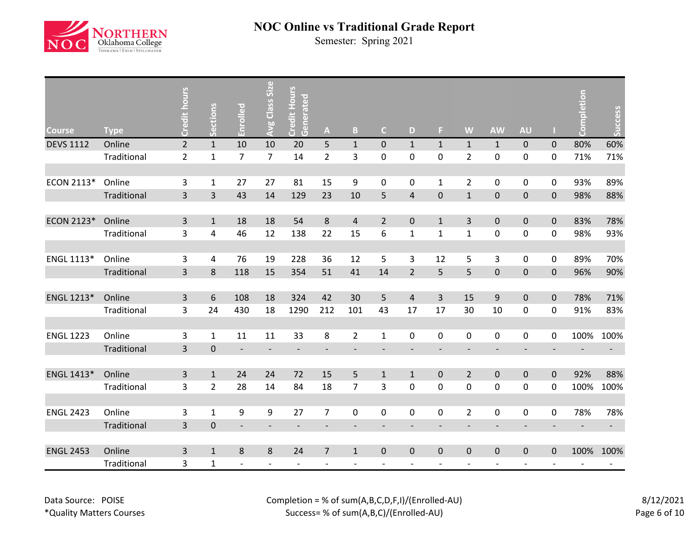

| <b>Course</b>    | <b>Type</b> | Credit hours            | ctions<br>$\overline{a}$ | Enrolled                 | <b>Avg Class Size</b>        | <b>Credit Hours</b><br>Generated | $\mathbf{A}$             | $\mathsf B$                  | $\mathsf{C}$             | D                        | F                        | W                            | <b>AW</b>                | <b>AU</b>                |             | pletion<br>ပိ | Success |
|------------------|-------------|-------------------------|--------------------------|--------------------------|------------------------------|----------------------------------|--------------------------|------------------------------|--------------------------|--------------------------|--------------------------|------------------------------|--------------------------|--------------------------|-------------|---------------|---------|
| <b>DEVS 1112</b> | Online      | $\overline{2}$          | $1\,$                    | 10                       | 10                           | 20                               | 5                        | $\mathbf 1$                  | $\pmb{0}$                | $\mathbf{1}$             | $\mathbf{1}$             | $\mathbf{1}$                 | $\mathbf{1}$             | $\mathbf 0$              | $\mathbf 0$ | 80%           | 60%     |
|                  | Traditional | $\overline{2}$          | $\mathbf{1}$             | 7                        | $\overline{7}$               | 14                               | $\overline{2}$           | 3                            | 0                        | $\mathbf 0$              | 0                        | $\overline{2}$               | $\pmb{0}$                | $\boldsymbol{0}$         | 0           | 71%           | 71%     |
|                  |             |                         |                          |                          |                              |                                  |                          |                              |                          |                          |                          |                              |                          |                          |             |               |         |
| ECON 2113*       | Online      | 3                       | $\mathbf{1}$             | 27                       | 27                           | 81                               | 15                       | 9                            | $\mathbf 0$              | 0                        | $\mathbf{1}$             | $\overline{2}$               | $\pmb{0}$                | 0                        | 0           | 93%           | 89%     |
|                  | Traditional | $\overline{\mathbf{3}}$ | $\overline{3}$           | 43                       | 14                           | 129                              | 23                       | 10                           | 5                        | $\overline{4}$           | $\pmb{0}$                | $\mathbf 1$                  | $\pmb{0}$                | $\pmb{0}$                | $\mathbf 0$ | 98%           | 88%     |
|                  |             |                         |                          |                          |                              |                                  |                          |                              |                          |                          |                          |                              |                          |                          |             |               |         |
| ECON 2123*       | Online      | 3                       | $\mathbf{1}$             | 18                       | 18                           | 54                               | $\bf 8$                  | $\overline{4}$               | $\overline{2}$           | $\mathbf 0$              | $\mathbf{1}$             | $\overline{3}$               | $\pmb{0}$                | $\pmb{0}$                | $\mathbf 0$ | 83%           | 78%     |
|                  | Traditional | 3                       | 4                        | 46                       | 12                           | 138                              | 22                       | 15                           | 6                        | $\mathbf{1}$             | $\mathbf{1}$             | $\mathbf 1$                  | $\pmb{0}$                | 0                        | 0           | 98%           | 93%     |
|                  |             |                         |                          |                          |                              |                                  |                          |                              |                          |                          |                          |                              |                          |                          |             |               |         |
| ENGL 1113*       | Online      | 3                       | 4                        | 76                       | 19                           | 228                              | 36                       | 12                           | 5                        | 3                        | 12                       | 5                            | 3                        | $\mathsf{O}\xspace$      | 0           | 89%           | 70%     |
|                  | Traditional | 3                       | 8                        | 118                      | 15                           | 354                              | 51                       | 41                           | 14                       | $\overline{2}$           | 5                        | 5                            | $\mathbf 0$              | $\pmb{0}$                | $\mathbf 0$ | 96%           | 90%     |
|                  |             |                         |                          |                          |                              |                                  |                          |                              |                          |                          |                          |                              |                          |                          |             |               |         |
| ENGL 1213*       | Online      | 3                       | 6                        | 108                      | 18                           | 324                              | 42                       | 30                           | 5                        | $\overline{4}$           | 3                        | 15                           | $\boldsymbol{9}$         | $\pmb{0}$                | $\mathbf 0$ | 78%           | 71%     |
|                  | Traditional | 3                       | 24                       | 430                      | 18                           | 1290                             | 212                      | 101                          | 43                       | 17                       | 17                       | 30                           | $10\,$                   | 0                        | 0           | 91%           | 83%     |
|                  |             |                         |                          |                          |                              |                                  |                          |                              |                          |                          |                          |                              |                          |                          |             |               |         |
| <b>ENGL 1223</b> | Online      | 3                       | $\mathbf{1}$             | 11                       | 11                           | 33                               | 8                        | $\overline{2}$               | $\mathbf{1}$             | 0                        | 0                        | $\mathbf 0$                  | $\pmb{0}$                | 0                        | 0           | 100%          | 100%    |
|                  | Traditional | 3                       | $\pmb{0}$                | $\overline{\phantom{a}}$ | $\overline{\phantom{a}}$     | $\overline{\phantom{a}}$         | $\overline{\phantom{a}}$ | $\overline{\phantom{a}}$     | $\overline{\phantom{a}}$ | $\overline{\phantom{a}}$ | $\overline{\phantom{a}}$ | $\overline{\phantom{m}}$     | $\overline{\phantom{a}}$ | $\overline{\phantom{a}}$ |             |               |         |
|                  |             |                         |                          |                          |                              |                                  |                          |                              |                          |                          |                          |                              |                          |                          |             |               |         |
| ENGL 1413*       | Online      | $\overline{3}$          | $\mathbf{1}$             | 24                       | 24                           | 72                               | 15                       | 5                            | $\mathbf{1}$             | $\mathbf{1}$             | $\pmb{0}$                | $\overline{2}$               | $\pmb{0}$                | $\mathsf{O}\xspace$      | $\mathbf 0$ | 92%           | 88%     |
|                  | Traditional | 3                       | $\overline{2}$           | 28                       | 14                           | 84                               | 18                       | $\overline{7}$               | 3                        | $\pmb{0}$                | 0                        | $\mathbf 0$                  | $\pmb{0}$                | $\pmb{0}$                | 0           | 100%          | 100%    |
|                  |             |                         |                          |                          |                              |                                  |                          |                              |                          |                          |                          |                              |                          |                          |             |               |         |
| <b>ENGL 2423</b> | Online      | 3                       | $\mathbf 1$              | 9                        | 9                            | 27                               | $\overline{7}$           | $\pmb{0}$                    | 0                        | $\pmb{0}$                | 0                        | $\overline{2}$               | $\pmb{0}$                | 0                        | 0           | 78%           | 78%     |
|                  | Traditional | $\overline{\mathbf{3}}$ | $\pmb{0}$                | $\overline{\phantom{a}}$ | $\qquad \qquad \blacksquare$ | $\overline{\phantom{a}}$         | $\overline{\phantom{a}}$ | $\qquad \qquad \blacksquare$ |                          |                          |                          | $\qquad \qquad \blacksquare$ | $\overline{\phantom{a}}$ | $\overline{\phantom{a}}$ |             |               | $\sim$  |
|                  |             |                         |                          |                          |                              |                                  |                          |                              |                          |                          |                          |                              |                          |                          |             |               |         |
| <b>ENGL 2453</b> | Online      | 3                       | $\mathbf{1}$             | 8                        | 8                            | 24                               | $\overline{7}$           | $\mathbf 1$                  | $\pmb{0}$                | $\pmb{0}$                | 0                        | $\pmb{0}$                    | $\pmb{0}$                | $\pmb{0}$                | $\mathbf 0$ | 100%          | 100%    |
|                  | Traditional | 3                       | $\mathbf{1}$             | $\overline{\phantom{a}}$ |                              |                                  |                          | -                            |                          |                          |                          |                              |                          |                          |             |               |         |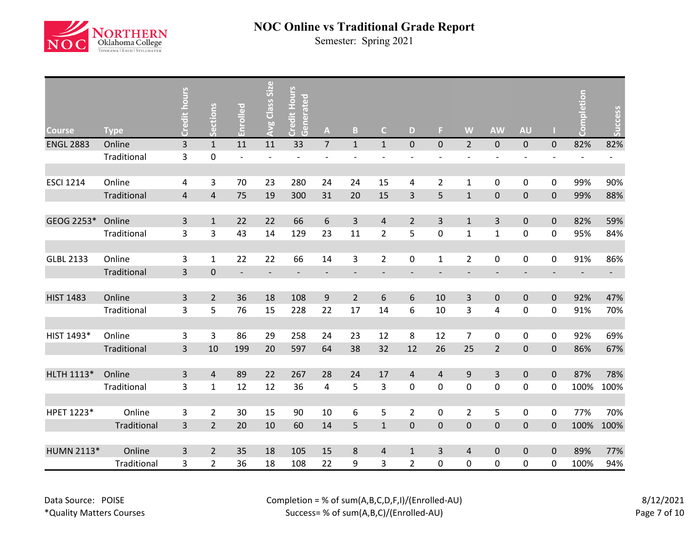

| <b>Course</b>     | <b>Type</b> | Credit hours            | Sections       | Enrolled                 | Avg Class Size           | Credit Hours<br>Generated | $\boldsymbol{\mathsf{A}}$ | B                        | $\mathsf{C}$   | D                        | F.             | W                        | <b>AW</b>                | <b>AU</b>                |                          | npletion<br>້ອ           | Success    |
|-------------------|-------------|-------------------------|----------------|--------------------------|--------------------------|---------------------------|---------------------------|--------------------------|----------------|--------------------------|----------------|--------------------------|--------------------------|--------------------------|--------------------------|--------------------------|------------|
| <b>ENGL 2883</b>  | Online      | $\overline{\mathbf{3}}$ | $\mathbf{1}$   | 11                       | 11                       | 33                        | $\overline{7}$            | $\mathbf{1}$             | $\mathbf{1}$   | $\mathbf 0$              | $\mathbf{0}$   | $\overline{2}$           | $\pmb{0}$                | $\mathbf 0$              | $\mathbf 0$              | 82%                      | 82%        |
|                   | Traditional | 3                       | $\pmb{0}$      | $\overline{\phantom{a}}$ | $\overline{\phantom{0}}$ | $\overline{a}$            | $\overline{\phantom{a}}$  | $\overline{a}$           |                | $\overline{\phantom{0}}$ |                | $\overline{a}$           | $\overline{\phantom{m}}$ | $\overline{\phantom{a}}$ | $\overline{\phantom{a}}$ | $\overline{\phantom{m}}$ |            |
|                   |             |                         |                |                          |                          |                           |                           |                          |                |                          |                |                          |                          |                          |                          |                          |            |
| <b>ESCI 1214</b>  | Online      | 4                       | 3              | 70                       | 23                       | 280                       | 24                        | 24                       | 15             | 4                        | $\overline{2}$ | $\mathbf 1$              | $\pmb{0}$                | $\pmb{0}$                | 0                        | 99%                      | 90%        |
|                   | Traditional | $\overline{4}$          | $\sqrt{4}$     | 75                       | 19                       | 300                       | 31                        | 20                       | 15             | 3                        | 5              | $\mathbf 1$              | $\mathbf 0$              | $\pmb{0}$                | $\pmb{0}$                | 99%                      | 88%        |
|                   |             |                         |                |                          |                          |                           |                           |                          |                |                          |                |                          |                          |                          |                          |                          |            |
| GEOG 2253*        | Online      | 3                       | $\mathbf{1}$   | 22                       | 22                       | 66                        | $\boldsymbol{6}$          | 3                        | $\overline{4}$ | $\overline{2}$           | 3              | $\mathbf{1}$             | 3                        | $\pmb{0}$                | $\mathbf 0$              | 82%                      | 59%        |
|                   | Traditional | 3                       | 3              | 43                       | 14                       | 129                       | 23                        | 11                       | $\overline{2}$ | 5                        | 0              | $\mathbf 1$              | $\mathbf{1}$             | 0                        | 0                        | 95%                      | 84%        |
|                   |             |                         |                |                          |                          |                           |                           |                          |                |                          |                |                          |                          |                          |                          |                          |            |
| <b>GLBL 2133</b>  | Online      | 3                       | $\mathbf{1}$   | 22                       | 22                       | 66                        | 14                        | 3                        | $\overline{2}$ | 0                        | $\mathbf{1}$   | $\overline{2}$           | 0                        | $\mathsf{O}\xspace$      | 0                        | 91%                      | 86%        |
|                   | Traditional | 3                       | $\mathbf 0$    | $\overline{\phantom{a}}$ | $\overline{\phantom{0}}$ | $\overline{\phantom{a}}$  | $\overline{\phantom{a}}$  | $\overline{\phantom{a}}$ |                | $\overline{\phantom{a}}$ |                | $\overline{\phantom{a}}$ | $\overline{\phantom{a}}$ |                          |                          | $\overline{\phantom{a}}$ | $\sim 100$ |
|                   |             |                         |                |                          |                          |                           |                           |                          |                |                          |                |                          |                          |                          |                          |                          |            |
| <b>HIST 1483</b>  | Online      | 3                       | $\overline{2}$ | 36                       | 18                       | 108                       | $\boldsymbol{9}$          | $\overline{2}$           | 6              | 6                        | 10             | 3                        | $\pmb{0}$                | $\pmb{0}$                | $\pmb{0}$                | 92%                      | 47%        |
|                   | Traditional | 3                       | 5              | 76                       | 15                       | 228                       | 22                        | 17                       | 14             | 6                        | 10             | 3                        | 4                        | 0                        | 0                        | 91%                      | 70%        |
|                   |             |                         |                |                          |                          |                           |                           |                          |                |                          |                |                          |                          |                          |                          |                          |            |
| HIST 1493*        | Online      | 3                       | 3              | 86                       | 29                       | 258                       | 24                        | 23                       | 12             | 8                        | 12             | $\overline{7}$           | 0                        | $\mathsf{O}\xspace$      | 0                        | 92%                      | 69%        |
|                   | Traditional | 3                       | 10             | 199                      | 20                       | 597                       | 64                        | 38                       | 32             | 12                       | 26             | 25                       | $\overline{2}$           | $\pmb{0}$                | $\mathbf 0$              | 86%                      | 67%        |
|                   |             |                         |                |                          |                          |                           |                           |                          |                |                          |                |                          |                          |                          |                          |                          |            |
| HLTH 1113*        | Online      | 3                       | 4              | 89                       | 22                       | 267                       | 28                        | 24                       | 17             | $\overline{4}$           | $\overline{4}$ | $9\,$                    | 3                        | $\mathbf 0$              | $\pmb{0}$                | 87%                      | 78%        |
|                   | Traditional | 3                       | $\mathbf{1}$   | 12                       | 12                       | 36                        | 4                         | 5                        | 3              | $\mathbf 0$              | 0              | $\mathbf 0$              | $\pmb{0}$                | $\pmb{0}$                | 0                        | 100%                     | 100%       |
|                   |             |                         |                |                          |                          |                           |                           |                          |                |                          |                |                          |                          |                          |                          |                          |            |
| HPET 1223*        | Online      | 3                       | $\overline{2}$ | 30                       | 15                       | 90                        | 10                        | 6                        | 5              | $\overline{2}$           | 0              | $\overline{2}$           | 5                        | $\pmb{0}$                | 0                        | 77%                      | 70%        |
|                   | Traditional | $\overline{\mathbf{3}}$ | $\overline{2}$ | 20                       | $10\,$                   | 60                        | 14                        | 5                        | $\mathbf 1$    | $\pmb{0}$                | $\mathbf 0$    | $\pmb{0}$                | $\pmb{0}$                | $\pmb{0}$                | $\mathbf 0$              | 100%                     | 100%       |
|                   |             |                         |                |                          |                          |                           |                           |                          |                |                          |                |                          |                          |                          |                          |                          |            |
| <b>HUMN 2113*</b> | Online      | 3                       | $\overline{2}$ | 35                       | 18                       | 105                       | 15                        | 8                        | 4              | $\mathbf{1}$             | 3              | $\overline{4}$           | $\pmb{0}$                | $\pmb{0}$                | $\Omega$                 | 89%                      | 77%        |
|                   | Traditional | 3                       | $\overline{2}$ | 36                       | 18                       | 108                       | 22                        | 9                        | 3              | $\overline{2}$           | 0              | 0                        | $\pmb{0}$                | 0                        | 0                        | 100%                     | 94%        |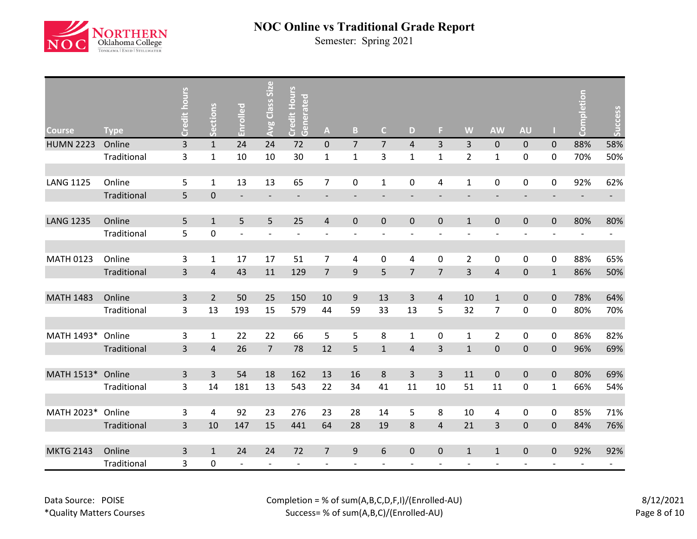

| <b>Course</b>    | <b>Type</b> | <b>Credit hours</b>     | ections        | <u>공</u><br>Enroll       | Avg Class Size           | Credit Hours<br>Generated | $\mathbf{A}$             | B.                       | $\mathsf{C}$             | D                            | F.             | W                            | <b>AW</b>                | <b>AU</b>                |                | etion<br>g               | Success    |
|------------------|-------------|-------------------------|----------------|--------------------------|--------------------------|---------------------------|--------------------------|--------------------------|--------------------------|------------------------------|----------------|------------------------------|--------------------------|--------------------------|----------------|--------------------------|------------|
| <b>HUMN 2223</b> | Online      | $\overline{\mathbf{3}}$ | $\mathbf{1}$   | 24                       | 24                       | 72                        | $\pmb{0}$                | $\overline{7}$           | $\overline{7}$           | $\overline{4}$               | 3              | $\overline{3}$               | $\pmb{0}$                | $\mathbf 0$              | $\mathbf{0}$   | 88%                      | 58%        |
|                  | Traditional | 3                       | $\mathbf 1$    | 10                       | 10                       | 30                        | $\mathbf{1}$             | $\mathbf 1$              | 3                        | $\mathbf{1}$                 | $\mathbf{1}$   | $\overline{2}$               | $\mathbf{1}$             | $\pmb{0}$                | 0              | 70%                      | 50%        |
|                  |             |                         |                |                          |                          |                           |                          |                          |                          |                              |                |                              |                          |                          |                |                          |            |
| <b>LANG 1125</b> | Online      | 5                       | $\mathbf{1}$   | 13                       | 13                       | 65                        | $\overline{7}$           | 0                        | $\mathbf{1}$             | 0                            | 4              | $\mathbf{1}$                 | 0                        | 0                        | 0              | 92%                      | 62%        |
|                  | Traditional | 5                       | $\pmb{0}$      | $\overline{\phantom{a}}$ | $\qquad \qquad -$        | $\overline{\phantom{a}}$  | $\overline{\phantom{a}}$ | $\qquad \qquad -$        |                          | $\qquad \qquad \blacksquare$ |                | $\qquad \qquad \blacksquare$ | $\overline{\phantom{a}}$ | $\overline{\phantom{a}}$ |                | $\overline{\phantom{a}}$ | $\sim 100$ |
| <b>LANG 1235</b> | Online      | 5                       | $\mathbf{1}$   | 5                        | 5                        | 25                        | $\overline{4}$           | $\pmb{0}$                | $\mathbf 0$              | $\mathbf 0$                  | $\mathbf 0$    | $\mathbf{1}$                 | $\pmb{0}$                | $\pmb{0}$                | $\Omega$       | 80%                      | 80%        |
|                  | Traditional | 5                       | 0              | $\overline{\phantom{a}}$ | $\overline{\phantom{a}}$ | $\overline{\phantom{m}}$  |                          | $\overline{\phantom{a}}$ | $\overline{\phantom{a}}$ | ٠                            |                | $\overline{a}$               | $\overline{\phantom{a}}$ | $\overline{\phantom{a}}$ | $\overline{a}$ | $\overline{\phantom{a}}$ |            |
|                  |             |                         |                |                          |                          |                           |                          |                          |                          |                              |                |                              |                          |                          |                |                          |            |
| <b>MATH 0123</b> | Online      | 3                       | $\mathbf{1}$   | 17                       | 17                       | 51                        | $\overline{7}$           | 4                        | 0                        | 4                            | 0              | $\overline{2}$               | 0                        | 0                        | 0              | 88%                      | 65%        |
|                  | Traditional | 3                       | $\overline{4}$ | 43                       | 11                       | 129                       | $\overline{7}$           | 9                        | 5                        | $\overline{7}$               | $\overline{7}$ | 3                            | $\overline{\mathbf{4}}$  | $\mathbf 0$              | $\mathbf 1$    | 86%                      | 50%        |
|                  |             |                         |                |                          |                          |                           |                          |                          |                          |                              |                |                              |                          |                          |                |                          |            |
| <b>MATH 1483</b> | Online      | $\overline{3}$          | $\overline{2}$ | 50                       | 25                       | 150                       | 10                       | 9                        | 13                       | $\overline{3}$               | $\overline{4}$ | 10                           | $\mathbf{1}$             | $\pmb{0}$                | $\mathbf 0$    | 78%                      | 64%        |
|                  | Traditional | 3                       | 13             | 193                      | 15                       | 579                       | 44                       | 59                       | 33                       | 13                           | 5              | 32                           | $\overline{7}$           | $\pmb{0}$                | 0              | 80%                      | 70%        |
|                  |             |                         |                |                          |                          |                           |                          |                          |                          |                              |                |                              |                          |                          |                |                          |            |
| MATH 1493*       | Online      | 3                       | $\mathbf{1}$   | 22                       | 22                       | 66                        | 5                        | 5                        | 8                        | $\mathbf{1}$                 | 0              | $\mathbf{1}$                 | $\overline{2}$           | 0                        | 0              | 86%                      | 82%        |
|                  | Traditional | 3                       | $\overline{4}$ | 26                       | $\overline{7}$           | 78                        | 12                       | 5                        | $\mathbf 1$              | $\overline{4}$               | $\overline{3}$ | $\mathbf 1$                  | $\pmb{0}$                | $\pmb{0}$                | $\mathbf 0$    | 96%                      | 69%        |
| MATH 1513*       | Online      | 3                       | 3              | 54                       | 18                       | 162                       | 13                       | 16                       | 8                        | $\overline{3}$               | $\overline{3}$ | 11                           | $\pmb{0}$                | $\mathbf 0$              | $\mathbf 0$    | 80%                      | 69%        |
|                  | Traditional | 3                       | 14             | 181                      | 13                       | 543                       | 22                       | 34                       | 41                       | 11                           | 10             | 51                           | 11                       | 0                        | $\mathbf{1}$   | 66%                      | 54%        |
|                  |             |                         |                |                          |                          |                           |                          |                          |                          |                              |                |                              |                          |                          |                |                          |            |
| MATH 2023*       | Online      | 3                       | 4              | 92                       | 23                       | 276                       | 23                       | 28                       | 14                       | 5                            | 8              | 10                           | 4                        | $\pmb{0}$                | 0              | 85%                      | 71%        |
|                  | Traditional | 3                       | 10             | 147                      | 15                       | 441                       | 64                       | 28                       | 19                       | 8                            | $\overline{4}$ | 21                           | 3                        | $\pmb{0}$                | $\mathbf 0$    | 84%                      | 76%        |
|                  |             |                         |                |                          |                          |                           |                          |                          |                          |                              |                |                              |                          |                          |                |                          |            |
| <b>MKTG 2143</b> | Online      | 3                       | $\mathbf{1}$   | 24                       | 24                       | 72                        | $\overline{7}$           | 9                        | 6                        | $\mathbf 0$                  | $\mathbf 0$    | $\mathbf{1}$                 | $\mathbf{1}$             | $\pmb{0}$                | $\mathbf 0$    | 92%                      | 92%        |
|                  | Traditional | 3                       | 0              | $\overline{\phantom{a}}$ |                          |                           |                          |                          |                          |                              |                |                              |                          |                          |                |                          |            |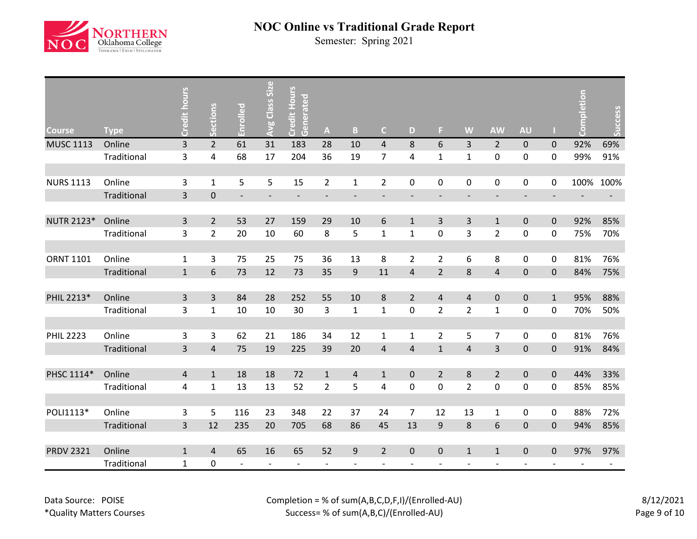

| <b>Course</b>     | <b>Type</b> | Credit hours            | ections        | Enrolled                 | Avg Class Size           | <b>Credit Hours</b><br>Generated | $\mathbf{A}$             | $\mathbf{B}$                 | $\mathsf{C}$   | D                        | F.                           | W                        | <b>AW</b>                | <b>AU</b>                |              | pletion<br>e, | Success |
|-------------------|-------------|-------------------------|----------------|--------------------------|--------------------------|----------------------------------|--------------------------|------------------------------|----------------|--------------------------|------------------------------|--------------------------|--------------------------|--------------------------|--------------|---------------|---------|
| <b>MUSC 1113</b>  | Online      | 3                       | $\overline{2}$ | 61                       | 31                       | 183                              | 28                       | 10                           | $\overline{4}$ | 8                        | 6                            | $\overline{3}$           | $\overline{2}$           | $\pmb{0}$                | $\mathbf{0}$ | 92%           | 69%     |
|                   | Traditional | 3                       | 4              | 68                       | 17                       | 204                              | 36                       | 19                           | $\overline{7}$ | 4                        | $\mathbf{1}$                 | $\mathbf{1}$             | $\pmb{0}$                | 0                        | 0            | 99%           | 91%     |
|                   |             |                         |                |                          |                          |                                  |                          |                              |                |                          |                              |                          |                          |                          |              |               |         |
| <b>NURS 1113</b>  | Online      | 3                       | $\mathbf 1$    | 5                        | 5                        | 15                               | $\overline{2}$           | $\mathbf{1}$                 | $\overline{2}$ | 0                        | 0                            | $\mathbf 0$              | 0                        | 0                        | 0            | 100%          | 100%    |
|                   | Traditional | $\overline{\mathbf{3}}$ | $\pmb{0}$      | $\overline{\phantom{a}}$ | $\overline{\phantom{a}}$ | $\overline{\phantom{a}}$         | $\overline{\phantom{a}}$ | $\qquad \qquad \blacksquare$ | $\overline{a}$ | $\overline{\phantom{a}}$ | $\qquad \qquad \blacksquare$ | $\overline{\phantom{a}}$ | $\overline{\phantom{a}}$ | $\overline{\phantom{a}}$ |              |               |         |
|                   |             |                         |                |                          |                          |                                  |                          |                              |                |                          |                              |                          |                          |                          |              |               |         |
| <b>NUTR 2123*</b> | Online      | 3                       | $\overline{2}$ | 53                       | 27                       | 159                              | 29                       | 10                           | 6              | $\mathbf{1}$             | 3                            | 3                        | $\mathbf{1}$             | $\pmb{0}$                | $\mathbf 0$  | 92%           | 85%     |
|                   | Traditional | 3                       | $\overline{2}$ | 20                       | 10                       | 60                               | 8                        | 5                            | $\mathbf{1}$   | $\mathbf{1}$             | 0                            | 3                        | $\overline{2}$           | 0                        | $\mathbf 0$  | 75%           | 70%     |
|                   |             |                         |                |                          |                          |                                  |                          |                              |                |                          |                              |                          |                          |                          |              |               |         |
| <b>ORNT 1101</b>  | Online      | 1                       | 3              | 75                       | 25                       | 75                               | 36                       | 13                           | 8              | $\overline{2}$           | $\overline{2}$               | 6                        | 8                        | 0                        | 0            | 81%           | 76%     |
|                   | Traditional | $\mathbf 1$             | 6              | 73                       | 12                       | 73                               | 35                       | 9                            | 11             | $\overline{4}$           | $\overline{2}$               | 8                        | $\sqrt{4}$               | $\pmb{0}$                | $\mathbf 0$  | 84%           | 75%     |
|                   |             |                         |                |                          |                          |                                  |                          |                              |                |                          |                              |                          |                          |                          |              |               |         |
| PHIL 2213*        | Online      | 3                       | $\overline{3}$ | 84                       | 28                       | 252                              | 55                       | 10                           | 8              | $\overline{2}$           | $\overline{4}$               | $\overline{4}$           | $\pmb{0}$                | $\pmb{0}$                | $\mathbf{1}$ | 95%           | 88%     |
|                   | Traditional | 3                       | $\mathbf{1}$   | 10                       | 10                       | 30                               | 3                        | $\mathbf 1$                  | $\mathbf{1}$   | 0                        | $\overline{2}$               | $\overline{2}$           | $\mathbf{1}$             | 0                        | 0            | 70%           | 50%     |
|                   |             |                         |                |                          |                          |                                  |                          |                              |                |                          |                              |                          |                          |                          |              |               |         |
| <b>PHIL 2223</b>  | Online      | 3                       | 3              | 62                       | 21                       | 186                              | 34                       | 12                           | $\mathbf{1}$   | 1                        | $\overline{2}$               | 5                        | $\overline{7}$           | 0                        | 0            | 81%           | 76%     |
|                   | Traditional | 3                       | $\overline{4}$ | 75                       | 19                       | 225                              | 39                       | 20                           | 4              | $\overline{\mathbf{4}}$  | $\mathbf{1}$                 | $\sqrt{4}$               | 3                        | $\pmb{0}$                | $\mathbf 0$  | 91%           | 84%     |
|                   |             |                         |                |                          |                          |                                  |                          |                              |                |                          |                              |                          |                          |                          |              |               |         |
| PHSC 1114*        | Online      | $\overline{4}$          | $\mathbf{1}$   | 18                       | 18                       | 72                               | $1\,$                    | $\overline{4}$               | $\mathbf{1}$   | $\mathbf 0$              | $\overline{2}$               | $\,8\,$                  | $\overline{2}$           | $\pmb{0}$                | $\mathbf 0$  | 44%           | 33%     |
|                   | Traditional | 4                       | $\mathbf{1}$   | 13                       | 13                       | 52                               | $\overline{2}$           | 5                            | 4              | 0                        | 0                            | $\overline{2}$           | $\pmb{0}$                | 0                        | $\mathbf 0$  | 85%           | 85%     |
|                   |             |                         |                |                          |                          |                                  |                          |                              |                |                          |                              |                          |                          |                          |              |               |         |
| POLI1113*         | Online      | 3                       | 5              | 116                      | 23                       | 348                              | 22                       | 37                           | 24             | $\overline{7}$           | 12                           | 13                       | $\mathbf 1$              | 0                        | $\pmb{0}$    | 88%           | 72%     |
|                   | Traditional | 3                       | 12             | 235                      | 20                       | 705                              | 68                       | 86                           | 45             | 13                       | 9                            | $\,8\,$                  | $\boldsymbol{6}$         | $\pmb{0}$                | $\pmb{0}$    | 94%           | 85%     |
|                   |             |                         |                |                          |                          |                                  |                          |                              |                |                          |                              |                          |                          |                          |              |               |         |
| <b>PRDV 2321</b>  | Online      | $\mathbf{1}$            | $\overline{4}$ | 65                       | 16                       | 65                               | 52                       | 9                            | $\overline{2}$ | $\mathbf 0$              | $\mathbf 0$                  | $1\,$                    | $\mathbf 1$              | $\pmb{0}$                | $\mathbf 0$  | 97%           | 97%     |
|                   | Traditional | $\mathbf{1}$            | 0              | $\overline{a}$           |                          | $\overline{\phantom{a}}$         |                          |                              |                |                          |                              |                          |                          |                          |              |               |         |